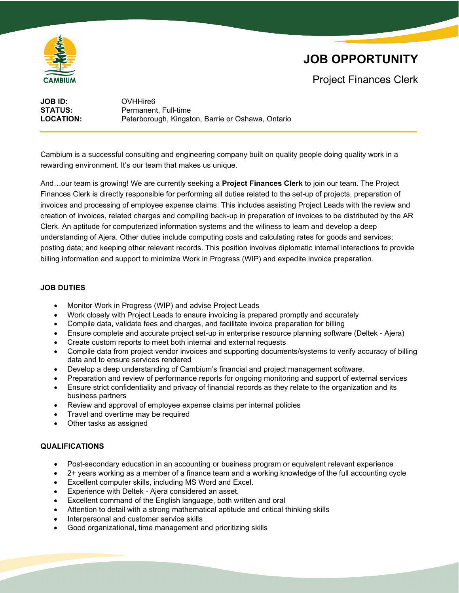

# **JOB OPPORTUNITY**

Project Finances Clerk

**JOB ID:** OVHHire6<br>**STATUS:** Permanen **STATUS:** Permanent, Full-time<br> **LOCATION:** Peterborough, Kingst Peterborough, Kingston, Barrie or Oshawa, Ontario

Cambium is a successful consulting and engineering company built on quality people doing quality work in a rewarding environment. It's our team that makes us unique.

And…our team is growing! We are currently seeking a **Project Finances Clerk** to join our team. The Project Finances Clerk is directly responsible for performing all duties related to the set-up of projects, preparation of invoices and processing of employee expense claims. This includes assisting Project Leads with the review and creation of invoices, related charges and compiling back-up in preparation of invoices to be distributed by the AR Clerk. An aptitude for computerized information systems and the wiliness to learn and develop a deep understanding of Ajera. Other duties include computing costs and calculating rates for goods and services; posting data; and keeping other relevant records. This position involves diplomatic internal interactions to provide billing information and support to minimize Work in Progress (WIP) and expedite invoice preparation.

## **JOB DUTIES**

- Monitor Work in Progress (WIP) and advise Project Leads
- Work closely with Project Leads to ensure invoicing is prepared promptly and accurately
- Compile data, validate fees and charges, and facilitate invoice preparation for billing
- Ensure complete and accurate project set-up in enterprise resource planning software (Deltek Ajera)
- Create custom reports to meet both internal and external requests
- Compile data from project vendor invoices and supporting documents/systems to verify accuracy of billing data and to ensure services rendered
- Develop a deep understanding of Cambium's financial and project management software.
- Preparation and review of performance reports for ongoing monitoring and support of external services
- Ensure strict confidentiality and privacy of financial records as they relate to the organization and its business partners
- Review and approval of employee expense claims per internal policies
- Travel and overtime may be required
- Other tasks as assigned

#### **QUALIFICATIONS**

- Post-secondary education in an accounting or business program or equivalent relevant experience
- 2+ years working as a member of a finance team and a working knowledge of the full accounting cycle
- Excellent computer skills, including MS Word and Excel.
- Experience with Deltek Ajera considered an asset.
- Excellent command of the English language, both written and oral
- Attention to detail with a strong mathematical aptitude and critical thinking skills
- Interpersonal and customer service skills
- Good organizational, time management and prioritizing skills